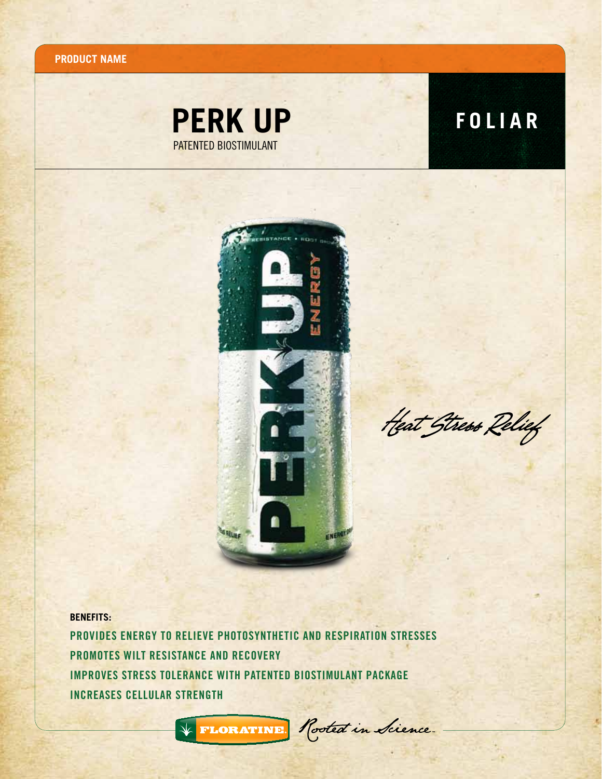**Product name**





Heat Stress Relief

**BENEFITS:**

Provides energy to relieve photosynthetic and respiration stresses Promotes wilt resistance and recovery Improves stress tolerance with patented biostimulant package increases cellular strength